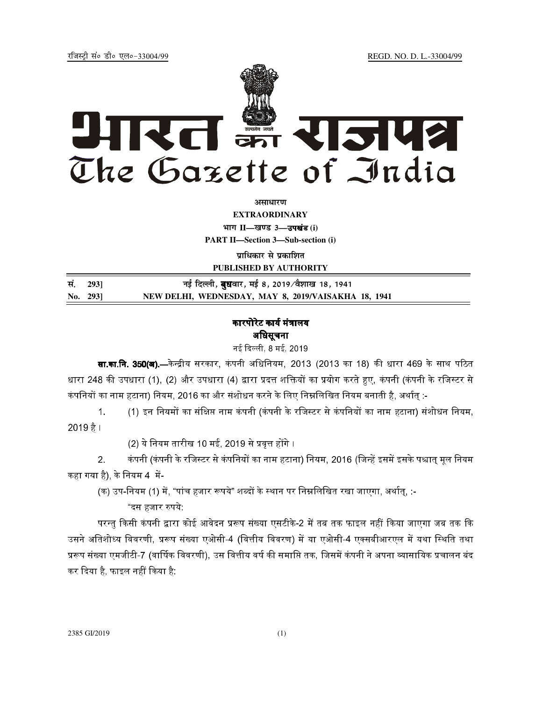jftLVªh laö Mhö ,yö&33004@99 REGD. NO. D. L.-33004/99



**vlk/kj.k**

**EXTRAORDINARY Hkkx II—[k.M 3—**उपखंड **(i)**

**PART II—Section 3—Sub-section (i)** 

**प्राधिकार से प्रकाशित** 

**PUBLISHED BY AUTHORITY**

| सं. 2931 | नई दिल्ली, <b>बुध</b> वार, मई 8, 2019 ∕वैशाख 18, 1941 |
|----------|-------------------------------------------------------|
| No. 293] | NEW DELHI, WEDNESDAY, MAY 8, 2019/VAISAKHA 18, 1941   |

# कारपोरेट कार्य मंत्रालय अधिसूचना

नई दिल्ली 8 मई 2019

**सा.का.नि. 350(अ).—**केन्द्रीय सरकार, कंपनी अधिनियम, 2013 (2013 का 18) की धारा 469 के साथ पठित धारा 248 की उपधारा (1), (2) और उपधारा (4) द्वारा प्रदत्त शक्तियों का प्रयोग करते हुए, कंपनी (कंपनी के रजिस्टर से कंपनियों का नाम हटाना) नियम, 2016 का और संशोधन करने के लिए निम्नलिखित नियम बनाती है, अर्थात् :-

1. (1) इन नियमों का संक्षिप्त नाम कंपनी (कंपनी के रजिस्टर से कंपनियों का नाम हटाना) संशोधन नियम,  $2019$  है ।

(2) ये नियम तारीख 10 मई, 2019 से प्रवत्त होंगे ।

2. कंपनी (कंपनी के रजिस्टर से कंपनियों का नाम हटाना) नियम, 2016 (जिन्हें इसमें इसके पश्चात् मृल नियम कहा गया है), के नियम 4 $\;$ में-

(क) उप-नियम (1) में, "पांच हजार रूपये" शब्दों के स्थान पर निम्नलिखित रखा जाएगा, अर्थात, :-

"दस हजार 2पये:

परन्तु किसी कंपनी द्वारा कोई आवेदन प्ररूप संख्या एसटीके-2 में तब तक फाइल नहीं किया जाएगा जब तक कि उसने अतिशोध्य विवरणी, प्ररूप संख्या एओसी-4 (वित्तीय विवरण) में या एओसी-4 एक्सबीआरएल में यथा स्थिति तथा प्ररूप संख्या एमजीटी-7 (वार्षिक विवरणी), उस वित्तीय वर्ष की समाप्ति तक, जिसमें कंपनी ने अपना व्यासायिक प्रचालन बंद कर दिया है, फाइल नहीं किया है: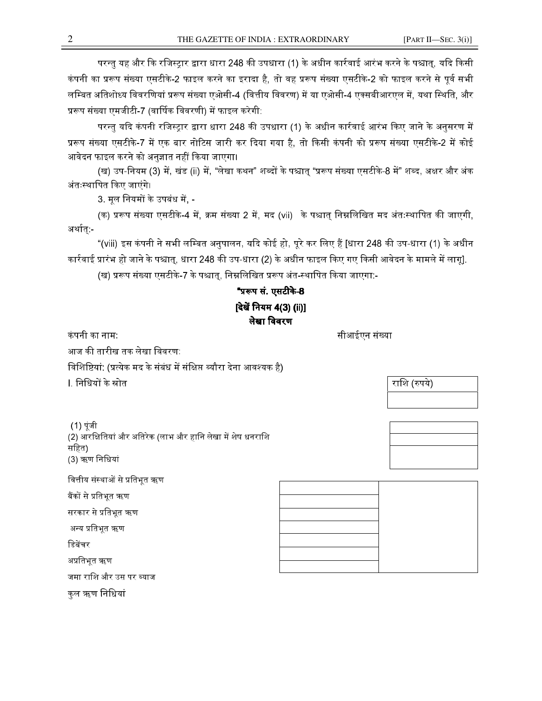परन्तु यह और कि रजिस्ट्रार द्वारा धारा 248 की उपधारा (1) के अधीन कार्रवाई आरंभ करने के पश्चात्, यदि किसी कंपनी का प्ररूप संख्या एसटीके-2 फाइल करने का इरादा है, तो वह प्ररूप संख्या एसटीके-2 को फाइल करने से पूर्व सभी लम्बित अतिशोध्य विवरणियां प्ररूप संख्या एओसी-4 (वित्तीय विवरण) में या एओसी-4 एक्सबीआरएल में, यथा स्थिति, और प्ररूप संख्या एमजीटी-7 (वार्षिक विवरणी) में फाइल करेगी:

परन्तु यदि कंपनी रजिस्ट्रार द्वारा धारा 248 की उपधारा (1) के अधीन कार्रवाई आरंभ किए जाने के अनुसरण में प्ररूप संख्या एसटीके-7 में एक बार नोटिस जारी कर दिया गया है, तो किसी कंपनी को प्ररूप संख्या एसटीके-2 में कोई आवेदन फाइल करने को अनुज्ञात नहीं किया जाएगा।

(ख) उप-नियम (3) में, खंड (ii) में, "लेखा कथन" शब्दों के पश्चात् "प्ररूप संख्या एसटीके-8 में" शब्द, अक्षर और अंक अंतःस्थापित किए जाएंगे।

3. मूल नियमों के उपबंध में, -

(क) प्ररूप संख्या एसटीके-4 में, क्रम संख्या 2 में, मद (vii) के पश्चात् निम्नलिखित मद अंतःस्थापित की जाएगी, अर्थात् -

"(viii) इस कंपनी ने सभी लम्बित अनुपालन, यदि कोई हो, पूरे कर लिए हैं [धारा 248 की उप-धारा (1) के अधीन कार्रवाई प्रारंभ हो जाने के पश्चात्, धारा 248 की उप-धारा (2) के अधीन फाइल किए गए किसी आवेदन के मामले में लागू].

(ख) प्ररूप संख्या एसटीके-7 के पश्चात, निम्नलिखित प्ररूप अंत-स्थापित किया जाएगा:-

# "प्ररूप सं. एसटीके-8 [देखें नियम 4(3) (ii)] लेखा विवरण

कं पनी का नाम: ':@H'5
H

आज की तारीख तक लेखा विवरण:-

विशिष्टियां: (प्रत्येक मद के संबंध में संक्षिप्त ब्यौरा देना आवश्यक है)

l. निधियों के स्रोत

 (1) पूंजी (2) आरक्षितियां और अतिरेक (लाभ और हानि लेखा में शेष धनराशि सिहत) (3) ऋण िनिधयां

वित्तीय संस्थाओं से प्रतिभत ऋण

बैंकों से प्रतिभूत ऋण

सरकार से प्रतिभूत ऋण

अन्य प्रतिभत ऋण

डिबेंचर

अप्रतिभूत ऋण

जमा राशि और उस पर ब्याज

कुल ऋण निधियां

राशि (रुपये)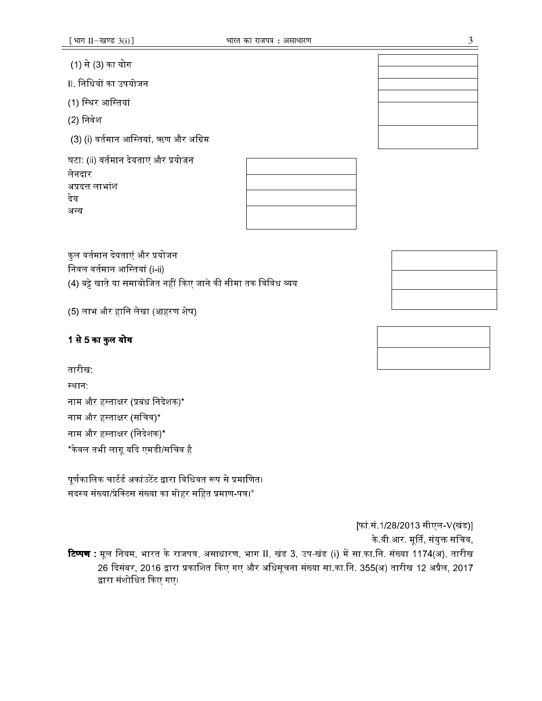[फां.सं.1/28/2013 सीएल-V(खंड)] के वी आर. मूर्ति, संयुक्त सचिव, **टिप्पण :** मूल नियम, भारत के राजपत्र, असाधारण, भाग II, खंड 3, उप-खंड (i) में सा.का.नि. संख्या 1174(अ), तारीख 26 दिसंबर, 2016 द्वारा प्रकाशित किए गए और अधिसूचना संख्या सा.का.नि. 355(अ) तारीख 12 अप्रैल, 2017 द्वारा संशोधित किए गए।

# पूर्णकालिक चार्टर्ड अकांउटेंट द्वारा विधिवत रूप से प्रमाणित।

सदस्य संख्या/प्रेक्टिस संख्या का मोहर सहित प्रमाण-पत्र।"

नाम और हस्ताक्षर (प्रबंध निदेशक)\* नाम और हस्ताक्षर (सचिव)\* नाम और हस्ताक्षर (निदेशक)\* \*केवल तभी लागू यदि एमडी/सचिव है

# (4) बट्टे खाते या समायोजित नहीं किए जाने की सीमा तक विविध व्यय

कुल वर्तमान देयताएं और प्रयोजन निवल वर्तमान आस्तियां (i-ii)

(5) लाभ और हानि लेखा (आहरण शेष)

1 से 5 का कुल योग

तारीख स्थान:

अप्रदत्त लाभांश देय अन्य

घटा: (ii) वर्तमान देयताएं और प्रयोजन

(3) (i) वर्तमान आस्तियां, ऋण और अग्रिम

Ⅱ. निधियों का उपयोजन

(1) स्थिर आस्तियां

(2) निवेश

लेनदार

(1) से (3) का योग

[भाग II-खण्ड  $3(i)$ ]

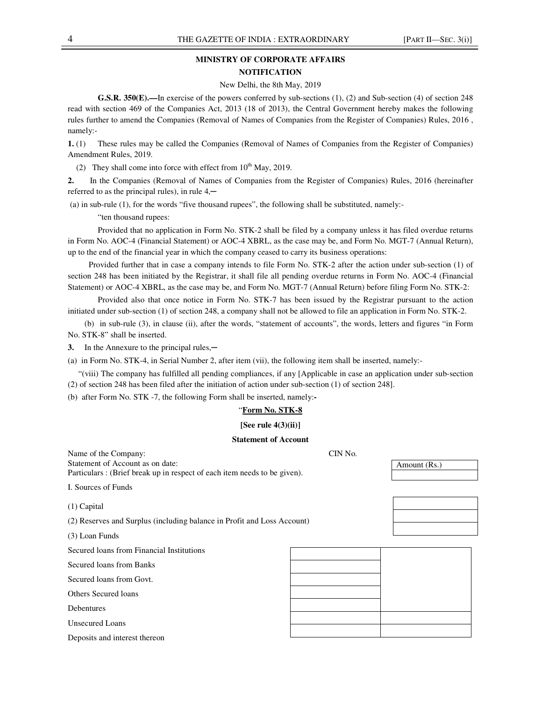# **MINISTRY OF CORPORATE AFFAIRS NOTIFICATION**

#### New Delhi, the 8th May, 2019

**G.S.R. 350(E).—**In exercise of the powers conferred by sub-sections (1), (2) and Sub-section (4) of section 248 read with section 469 of the Companies Act, 2013 (18 of 2013), the Central Government hereby makes the following rules further to amend the Companies (Removal of Names of Companies from the Register of Companies) Rules, 2016 , namely:-

**1.** (1) These rules may be called the Companies (Removal of Names of Companies from the Register of Companies) Amendment Rules, 2019.

(2) They shall come into force with effect from  $10^{th}$  May, 2019.

**2.** In the Companies (Removal of Names of Companies from the Register of Companies) Rules, 2016 (hereinafter referred to as the principal rules), in rule  $4,$ —

(a) in sub-rule (1), for the words "five thousand rupees", the following shall be substituted, namely:-

"ten thousand rupees:

 Provided that no application in Form No. STK-2 shall be filed by a company unless it has filed overdue returns in Form No. AOC-4 (Financial Statement) or AOC-4 XBRL, as the case may be, and Form No. MGT-7 (Annual Return), up to the end of the financial year in which the company ceased to carry its business operations:

 Provided further that in case a company intends to file Form No. STK-2 after the action under sub-section (1) of section 248 has been initiated by the Registrar, it shall file all pending overdue returns in Form No. AOC-4 (Financial Statement) or AOC-4 XBRL, as the case may be, and Form No. MGT-7 (Annual Return) before filing Form No. STK-2:

 Provided also that once notice in Form No. STK-7 has been issued by the Registrar pursuant to the action initiated under sub-section (1) of section 248, a company shall not be allowed to file an application in Form No. STK-2.

(b)in sub-rule (3), in clause (ii), after the words, "statement of accounts", the words, letters and figures "in Form No. STK-8" shall be inserted.

**3.** In the Annexure to the principal rules,—

(a) in Form No. STK-4, in Serial Number 2, after item (vii), the following item shall be inserted, namely:-

"(viii) The company has fulfilled all pending compliances, if any [Applicable in case an application under sub-section (2) of section 248 has been filed after the initiation of action under sub-section (1) of section 248].

(b) after Form No. STK -7, the following Form shall be inserted, namely:**-** 

## "**Form No. STK-8**

## **[See rule 4(3)(ii)]**

### **Statement of Account**

| Name of the Company:                                                     | CIN No. |              |  |  |
|--------------------------------------------------------------------------|---------|--------------|--|--|
| Statement of Account as on date:                                         |         | Amount (Rs.) |  |  |
| Particulars: (Brief break up in respect of each item needs to be given). |         |              |  |  |
| I. Sources of Funds                                                      |         |              |  |  |
| $(1)$ Capital                                                            |         |              |  |  |
| (2) Reserves and Surplus (including balance in Profit and Loss Account)  |         |              |  |  |
| (3) Loan Funds                                                           |         |              |  |  |
| Secured loans from Financial Institutions                                |         |              |  |  |
| Secured loans from Banks                                                 |         |              |  |  |
| Secured loans from Govt.                                                 |         |              |  |  |
| Others Secured Ioans                                                     |         |              |  |  |
| Debentures                                                               |         |              |  |  |
| <b>Unsecured Loans</b>                                                   |         |              |  |  |
| Deposits and interest thereon                                            |         |              |  |  |